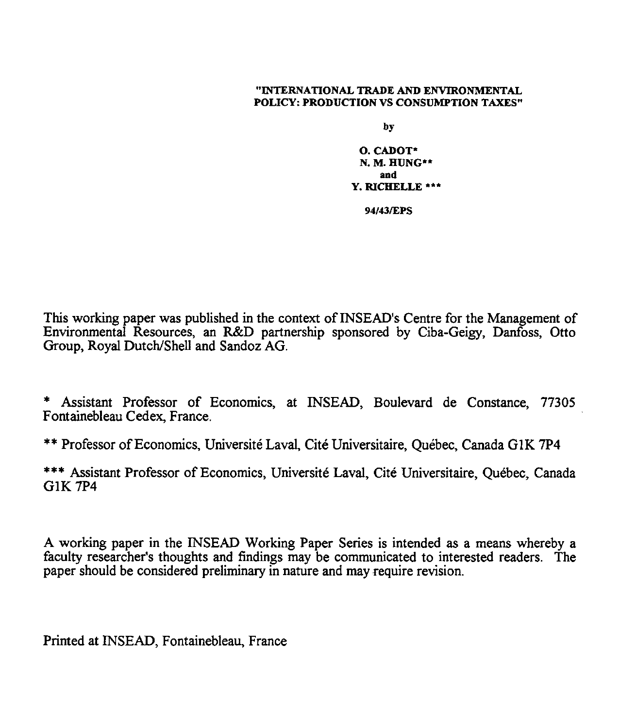#### "INTERNATIONAL TRADE AND ENVIRONMENTAL POLICY: PRODUCTION VS CONSUMPTION TAXES"

by

0. CADOT\* N. M. HUNG\*\* and Y. RICHELLE \*\*\*

94/43/EPS

This working paper was published in the context of INSEAD's Centre for the Management of Environmental Resources, an R&D partnership sponsored by Ciba-Geigy, Danfoss, Otto Group, Royal Dutch/Shell and Sandoz AG.

\* Assistant Professor of Economics, at INSEAD, Boulevard de Constance, 77305 Fontainebleau Cedex, France.

\*\* Professor of Economics, Universite Laval, Cite Universitaire, Quebec, Canada GIK 7P4

\*\*\* Assistant Professor of Economics, Universite Laval, Cite Universitaire, Quebec, Canada G1K 7P4

A working paper in the INSEAD Working Paper Series is intended as a means whereby a faculty researcher's thoughts and findings may be communicated to interested readers. The paper should be considered preliminary in nature and may require revision.

Printed at INSEAD, Fontainebleau, France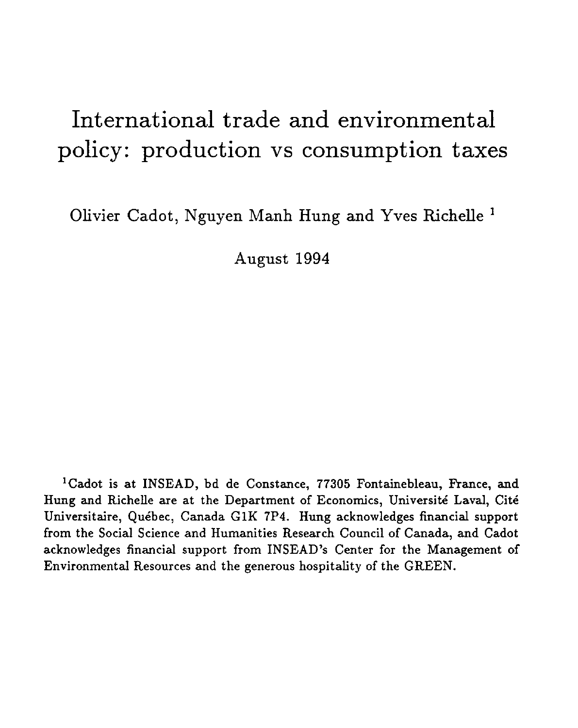# International trade and environmental policy: production vs consumption taxes

Olivier Cadot, Nguyen Manh Hung and Yves Richelle 1

August 1994

<sup>1</sup> Cadot is at INSEAD, bd de Constance, 77305 Fontainebleau, France, and Hung and Richelle are at the Department of Economics, Universite Laval, Cite Universitaire, Quebec, Canada G1K 7P4. Hung acknowledges financial support from the Social Science and Humanities Research Council of Canada, and Cadot acknowledges financial support from INSEAD's Center for the Management of Environmental Resources and the generous hospitality of the GREEN.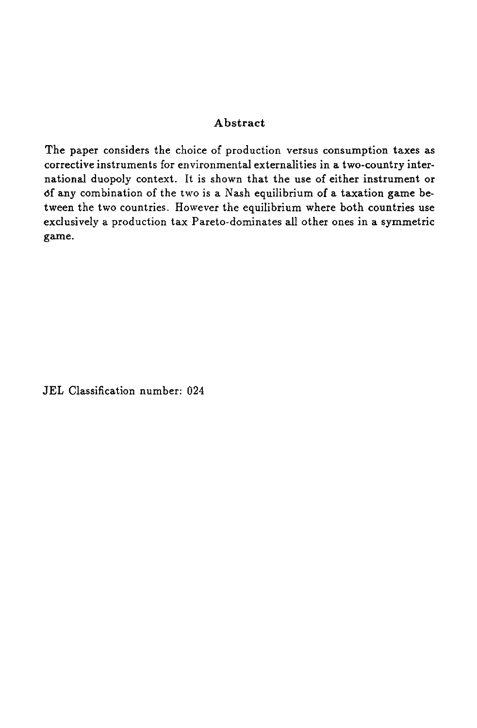#### Abstract

The paper considers the choice of production versus consumption taxes as corrective instruments for environmental externalities in a two-country international duopoly context. It is shown that the use of either instrument or Of any combination of the two is a Nash equilibrium of a taxation game between the two countries. However the equilibrium where both countries use exclusively a production tax Pareto-dominates all other ones in a symmetric game.

JEL Classification number: 024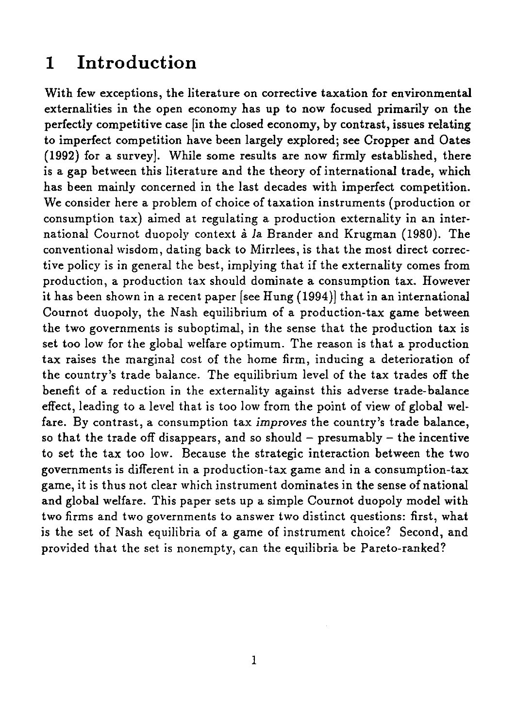# 1 Introduction

With few exceptions, the literature on corrective taxation for environmental externalities in the open economy has up to now focused primarily on the perfectly competitive case [in the closed economy, by contrast, issues relating to imperfect competition have been largely explored; see Cropper and Oates (1992) for a survey]. While some results are now firmly established, there is a gap between this literature and the theory of international trade, which has been mainly concerned in the last decades with imperfect competition. We consider here a problem of choice of taxation instruments (production or consumption tax) aimed at regulating a production externality in an international Cournot duopoly context à la Brander and Krugman (1980). The conventional wisdom, dating back to Mirrlees, is that the most direct corrective policy is in general the best, implying that if the externality comes from production, a production tax should dominate a consumption tax. However it has been shown in a recent paper [see Hung (1994)] that in an international Cournot duopoly, the Nash equilibrium of a production-tax game between the two governments is suboptimal, in the sense that the production tax is set too low for the global welfare optimum. The reason is that a production tax raises the marginal cost of the home firm, inducing a deterioration of the country's trade balance. The equilibrium level of the tax trades off the benefit of a reduction in the externality against this adverse trade-balance effect, leading to a level that is too low from the point of view of global welfare. By contrast, a consumption tax *improves* the country's trade balance, so that the trade off disappears, and so should  $-$  presumably  $-$  the incentive to set the tax too low. Because the strategic interaction between the two governments is different in a production-tax game and in a consumption-tax game, it is thus not clear which instrument dominates in the sense of national and global welfare. This paper sets up a simple Cournot duopoly model with two firms and two governments to answer two distinct questions: first, what *is* the set of Nash equilibria of a game of instrument choice? Second, and provided that the set is nonempty, can the equilibria be Pareto-ranked?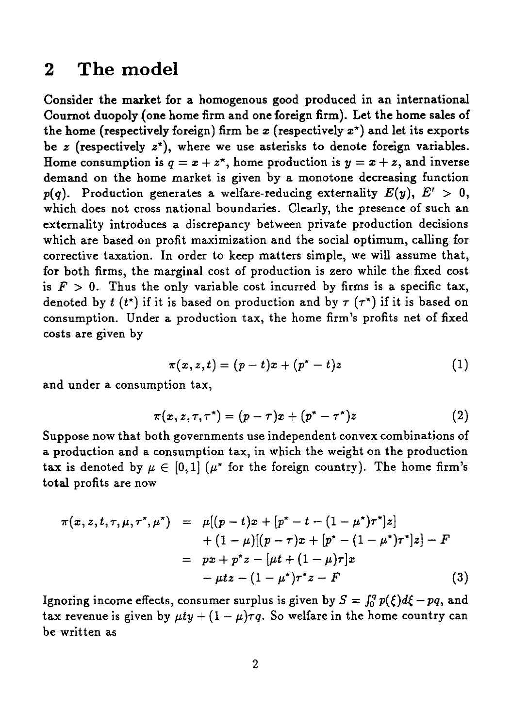### **2 The model**

Consider the market for a homogenous good produced in an international Cournot duopoly {one home firm and one foreign firm). Let the home sales of the home (respectively foreign) firm be x (respectively  $x^*$ ) and let its exports be *z* (respectively *z\*),* where we use asterisks to denote foreign variables. Home consumption is  $q = x + z^*$ , home production is  $y = x + z$ , and inverse demand on the home market is given by a monotone decreasing function  $p(q)$ . Production generates a welfare-reducing externality  $E(y)$ ,  $E' > 0$ , which does not cross national boundaries. Clearly, the presence of such an externality introduces a discrepancy between private production decisions which are based on profit maximization and the social optimum, calling for corrective taxation. In order to keep matters simple, we will assume that, for both firms, the marginal cost of production is zero while the fixed cost is  $F > 0$ . Thus the only variable cost incurred by firms is a specific tax, denoted by  $t(t^*)$  if it is based on production and by  $\tau(\tau^*)$  if it is based on consumption. Under a production tax, the home firm's profits net of fixed costs are given by market is given by a monotone decreasing function<br>erates a welfare-reducing externality  $E(y)$ ,  $E' > 0$ ,<br>national boundaries. Clearly, the presence of such an<br>a discrepancy between private production decisions<br>of t maximiz res a discrepancy between private production decisions<br>profit maximization and the social optimum, calling for<br>In order to keep matters simple, we will assume that,<br>marginal cost of production is zero while the fixed cost

$$
\pi(x,z,t)=(p-t)x+(p^*-t)z \qquad \qquad (1)
$$

and under a consumption tax,

$$
\pi(x, z, \tau, \tau^*) = (p - \tau)x + (p^* - \tau^*)z \qquad (2)
$$

Suppose now that both governments use independent convex combinations of a production and a consumption tax, in which the weight on the production tax is denoted by  $\mu \in [0, 1]$  ( $\mu^*$  for the foreign country). The home firm's total profits are now

$$
\pi(x, z, t) = (p - t)x + (p^* - t)z
$$
\n1  
\nl under a consumption tax,  
\n
$$
\pi(x, z, \tau, \tau^*) = (p - \tau)x + (p^* - \tau^*)z
$$
\n(2)  
\nppose now that both governments use independent convex combinations of  
\nroduction and a consumption tax, in which the weight on the production  
\n: is denoted by  $\mu \in [0, 1]$  ( $\mu^*$  for the foreign country). The home firm's  
\nal profits are now  
\n
$$
\pi(x, z, t, \tau, \mu, \tau^*, \mu^*) = \mu[(p - t)x + (p^* - t - (1 - \mu^*)\tau^*]z]
$$
\n
$$
+ (1 - \mu)[(p - \tau)x + (p^* - (1 - \mu^*)\tau^*]z] - F
$$
\n
$$
= px + p^*z - [\mu t + (1 - \mu)\tau]x
$$
\n
$$
- \mu tz - (1 - \mu^*)\tau^*z - F
$$
\n(3)  
\n
$$
\sigma
$$
ing income effects, consumer surplus is given by  $S = \int_0^q p(\xi) d\xi - pq$ , and  
\nrevenue is given by  $\mu t y + (1 - \mu)\tau q$ . So welfare in the home country can  
\nwritten as

Ignoring income effects, consumer surplus is given by  $S = \int_0^q p(\xi) d\xi - pq$ , and tax revenue is given by  $\mu ty + (1 - \mu)\tau q$ . So welfare in the home country can be written as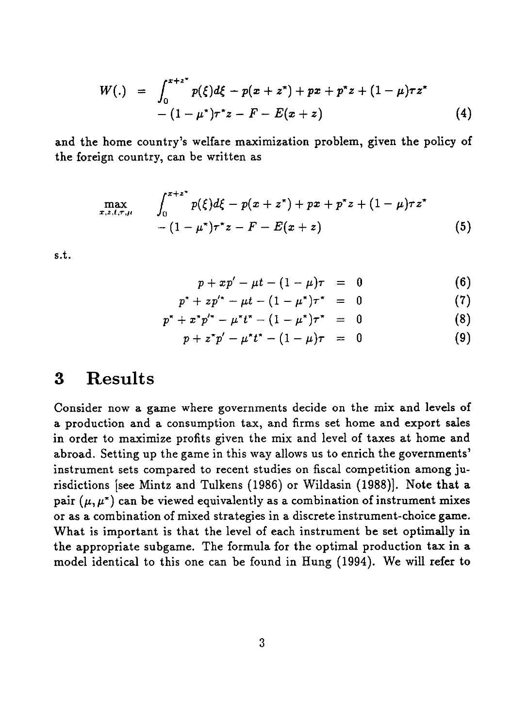$$
W(.) = \int_{0}^{x+z^{2}} p(\xi)d\xi - p(x+z^{*}) + px + p^{*}z + (1-\mu)\tau z^{*}
$$
  
\n
$$
-(1-\mu^{*})\tau^{*}z - F - E(x+z)
$$
(4)  
\nhome country's welfare maximization problem, given the policy of  
\nign country, can be written as  
\n
$$
\max_{x,z,t,\tau,\mu} \int_{0}^{x+z^{*}} p(\xi)d\xi - p(x+z^{*}) + px + p^{*}z + (1-\mu)\tau z^{*}
$$
  
\n
$$
-(1-\mu^{*})\tau^{*}z - F - E(x+z)
$$
(5)  
\n
$$
p + xp' - \mu t - (1-\mu)\tau = 0
$$
(6)  
\n
$$
p^{*} + zp^{*} - \mu t - (1-\mu^{*})\tau^{*} = 0
$$
(7)  
\n
$$
p^{*} + x^{*}p^{*} - \mu^{*}t^{*} - (1-\mu^{*})\tau^{*} = 0
$$
(8)

and the home country's welfare maximization problem, given the policy of the foreign country, can be written as

$$
W(.) = \int_{0}^{R} p(\xi)d\xi - p(x + z^{2}) + px + p^{2} + (1 - \mu)\tau z
$$
  
\n
$$
-(1 - \mu^{*})\tau^{*}z - F - E(x + z)
$$
(4)  
\n
$$
P(\xi)d\xi = \max_{\tau, z, t, \tau, \mu} p(\xi)d\xi - p(x + z^{*}) + px + p^{*}z + (1 - \mu)\tau z^{*}
$$
  
\n
$$
= (1 - \mu^{*})\tau^{*}z - F - E(x + z)
$$
(5)  
\n
$$
p + xp' - \mu t - (1 - \mu)\tau = 0
$$
(6)  
\n
$$
p^{*} + zp'^{*} - \mu t - (1 - \mu^{*})\tau^{*} = 0
$$
(7)  
\n
$$
p^{*} + z^{*}p'^{*} - \mu^{*}t^{*} - (1 - \mu^{*})\tau^{*} = 0
$$
(8)  
\n
$$
p + z^{*}p' - \mu^{*}t^{*} - (1 - \mu)\tau = 0
$$
(9)

**<sup>s</sup>** .t.

$$
p + xp' - \mu t - (1 - \mu)\tau = 0 \tag{6}
$$

$$
p^* + z p'^* - \mu t - (1 - \mu^*) \tau^* = 0 \tag{7}
$$

$$
p^* + x^* p'^* - \mu^* t^* - (1 - \mu^*) \tau^* = 0 \qquad (8)
$$

$$
p + z^* p' - \mu^* t^* - (1 - \mu)\tau = 0 \tag{9}
$$

### **3 Results**

Consider now a game where governments decide on the mix and levels of a production and a consumption tax, and firms set home and export sales in order to maximize profits given the mix and level of taxes at home and abroad. Setting up the game in this way allows us to enrich the governments' instrument sets compared to recent studies on fiscal competition among jurisdictions [see Mintz and Tulkens (1986) or Wildasin (1988)]. Note that a pair  $(\mu, \mu^*)$  can be viewed equivalently as a combination of instrument mixes or as a combination of mixed strategies in a discrete instrument-choice game. What is important is that the level of each instrument be set optimally in the appropriate subgame. The formula for the optimal production **tax in** a model identical to this one can be found in Hung (1994). We will refer to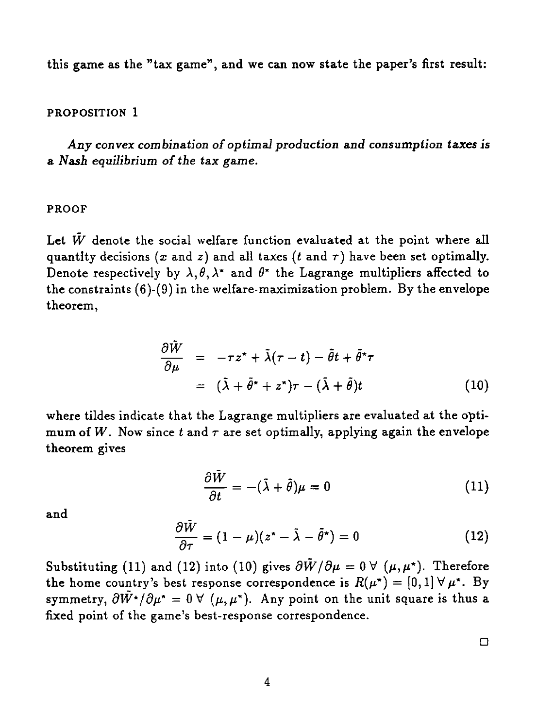this game as the "tax game", and we can now state the paper's first result:

#### PROPOSITION 1

*Any convex combination of optimal production and consumption taxes is a Nash equilibrium of the* tax *game.*

#### PROOF

Let  $\tilde{W}$  denote the social welfare function evaluated at the point where all quantity decisions  $(x \text{ and } z)$  and all taxes  $(t \text{ and } \tau)$  have been set optimally. Denote respectively by  $\lambda, \theta, \lambda^*$  and  $\theta^*$  the Lagrange multipliers affected to the constraints (6)-(9) in the welfare-maximization problem. By the envelope theorem,

$$
\frac{\partial \tilde{W}}{\partial \mu} = -\tau z^* + \tilde{\lambda}(\tau - t) - \tilde{\theta}t + \tilde{\theta}^* \tau
$$
  
\n
$$
= (\tilde{\lambda} + \tilde{\theta}^* + z^*)\tau - (\tilde{\lambda} + \tilde{\theta})t
$$
(10)  
\net that the Lagrange multipliers are evaluated at the opti-  
\n
$$
t \text{ and } \tau \text{ are set optimally, applying again the envelope}
$$
  
\n
$$
\frac{\partial \tilde{W}}{\partial t} = -(\tilde{\lambda} + \tilde{\theta})\mu = 0
$$
(11)  
\n
$$
\frac{\partial \tilde{W}}{\partial t} = (1 - \mu)(z^* - \tilde{\lambda} - \tilde{\theta}^*) = 0
$$
(12)

where tildes indicate that the Lagrange multipliers are evaluated at the optimum of W. Now since  $t$  and  $\tau$  are set optimally, applying again the envelope theorem gives

$$
\frac{\partial W}{\partial t} = -(\tilde{\lambda} + \tilde{\theta})\mu = 0 \tag{11}
$$

and

$$
\frac{\partial \tilde{W}}{\partial \tau} = (1 - \mu)(z^* - \tilde{\lambda} - \tilde{\theta}^*) = 0 \tag{12}
$$

Substituting (11) and (12) into (10) gives  $\frac{\partial \tilde{W}}{\partial \mu} = 0 \ \forall \ (\mu, \mu^*)$ . Therefore the home country's best response correspondence is  $R(\mu^*) = [0,1] \forall \mu^*$ . By symmetry,  $\partial \tilde{W}^{\star}/\partial \mu^{\star} = 0$   $\forall$  ( $\mu, \mu^{\star}$ ). Any point on the unit square is thus a fixed point of the game's best-response correspondence.

**ロ**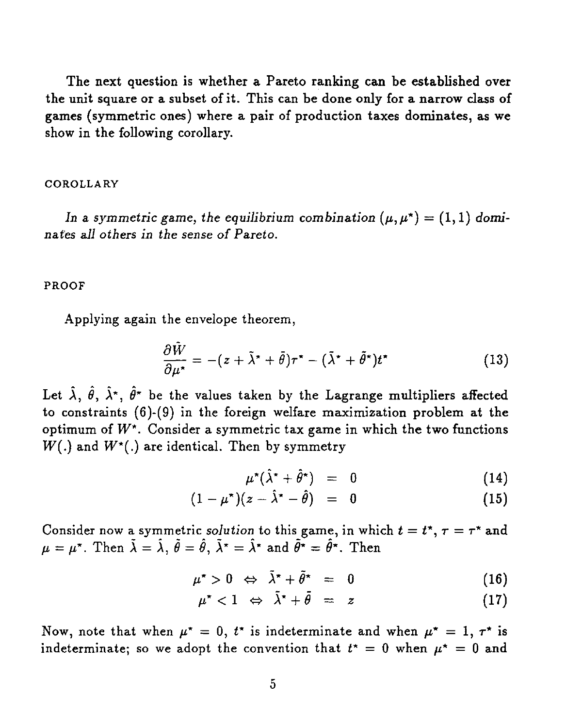The next question is whether a Pareto ranking can be established over the unit square or a subset of it. This can be done only for a narrow class of games (symmetric ones) where a pair of production taxes dominates, as we show in the following corollary.

#### COROLLARY

In a symmetric game, the equilibrium combination  $(\mu, \mu^*) = (1, 1)$  domi*nates all others in the sense of Pareto.*

#### PROOF

Applying again the envelope theorem,

\n
$$
\text{game, the equilibrium combination } (\mu, \mu^*) = (1, 1) \text{ domi}
$$
\n

\n\n $\text{the sense of Pareto.}$ \n

\n\n $\text{the envelope theorem,}$ \n

\n\n $\frac{\partial \tilde{W}}{\partial \mu^*} = -(z + \tilde{\lambda}^* + \tilde{\theta})\tau^* - (\tilde{\lambda}^* + \tilde{\theta}^*)t^*$ \n

\n\n $\text{the values taken by the Lagrange multipliers affected}$ \n

\n\n $\text{a) the following equation is the following equation.}$ \n

Let  $\hat{\lambda}$ ,  $\hat{\theta}$ ,  $\hat{\lambda}^*$ ,  $\hat{\theta}^*$  be the values taken by the Lagrange multipliers affected to constraints (6)-(9) in the foreign welfare maximization problem at the optimum of  $W^*$ . Consider a symmetric tax game in which the two functions  $W(.)$  and  $W^*(.)$  are identical. Then by symmetry nvelope theorem,<br>  $= -(z + \bar{\lambda}^* + \bar{\theta})\tau^* - (\bar{\lambda}^* + \bar{\theta}^*)t^*$  (13)<br>
values taken by the Lagrange multipliers affected<br>
the foreign welfare maximization problem at the<br>
er a symmetric tax game in which the two functions<br>
ti The foreign wentate maximization problem at the<br>  $\alpha$  is a symmetric tax game in which the two functions<br>
ical. Then by symmetry<br>  $\mu^*(\hat{\lambda}^* + \hat{\theta}^*) = 0$  (14)<br>  $1 - \mu^*)(z - \hat{\lambda}^* - \hat{\theta}) = 0$  (15)<br>  $\alpha$ : solution to this game

$$
\mu^{\star}(\hat{\lambda}^{\star}+\hat{\theta}^{\star}) = 0 \qquad (14)
$$

$$
(1 - \mu^*) (z - \hat{\lambda}^* - \hat{\theta}) = 0 \qquad (15)
$$

Consider now a symmetric *solution* to this game, in which  $t = t^*$ ,  $\tau = \tau^*$  and  $\mu = \mu^*$ . Then  $\tilde{\lambda} = \hat{\lambda}$ ,  $\tilde{\theta} = \hat{\theta}$ ,  $\tilde{\lambda}^* = \hat{\lambda}^*$  and  $\tilde{\theta}^* = \hat{\theta}^*$ . Then

$$
\mu^{\star} > 0 \Leftrightarrow \tilde{\lambda}^{\star} + \tilde{\theta}^{\star} = 0 \qquad (16)
$$

$$
\mu^*<1 \Leftrightarrow \lambda^*+\theta = z \qquad (17)
$$

Now, note that when  $\mu^* = 0$ ,  $t^*$  is indeterminate and when  $\mu^* = 1$ ,  $\tau^*$  is indeterminate; so we adopt the convention that  $t^* = 0$  when  $\mu^* = 0$  and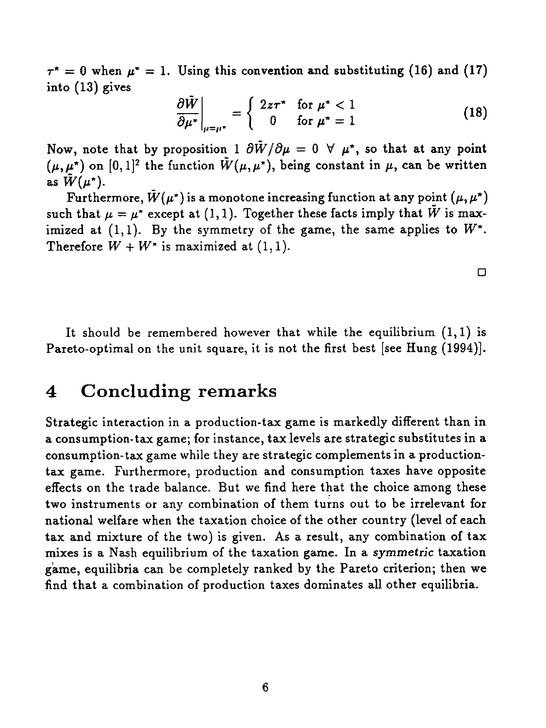$\tau^* = 0$  when  $\mu^* = 1$ . Using this convention and substituting (16) and (17) into (13) gives

$$
\left. \frac{\partial \tilde{W}}{\partial \mu^*} \right|_{\mu = \mu^*} = \begin{cases} 2z\tau^* & \text{for } \mu^* < 1 \\ 0 & \text{for } \mu^* = 1 \end{cases}
$$
 (18)

 $\tau^* = 0$  when  $\mu^* = 1$ . Using this convention and substituting (16) and (17)<br>into (13) gives<br> $\frac{\partial \tilde{W}}{\partial \mu^*}\Big|_{\mu=\mu^*} = \begin{cases} 2z\tau^* & \text{for } \mu^* < 1 \\ 0 & \text{for } \mu^* = 1 \end{cases}$  (18)<br>Now, note that by proposition  $1 \partial \tilde{W}/\partial \mu$  $(\mu, \mu^*)$  on  $[0,1]^2$  the function  $\tilde{W}(\mu, \mu^*)$ , being constant in  $\mu$ , can be written as  $\tilde{W}(\mu^{\star}).$ 

Furthermore,  $\tilde{W}(\mu^*)$  is a monotone increasing function at any point  $(\mu, \mu^*)$ such that  $\mu = \mu^*$  except at (1,1). Together these facts imply that  $\tilde{W}$  is maximized at  $(1,1)$ . By the symmetry of the game, the same applies to  $W^*$ . Therefore  $W + W^*$  is maximized at  $(1, 1)$ .

 $\Box$ 

It should be remembered however that while the equilibrium  $(1,1)$  is Pareto-optimal on the unit square, it is not the first best [see Hung (1994)].

## 4 Concluding remarks

Strategic interaction in a production-tax game is markedly different than in a consumption-tax game; for instance, tax levels are strategic substitutes in a consumption-tax game while they are strategic complements in a productiontax game. Furthermore, production and consumption taxes have opposite effects on the trade balance. But we find here that the choice among these two instruments or any combination of them turns out to be irrelevant for national welfare when the taxation choice of the other country (level of each tax and mixture of the two) is given. As a result, any combination of tax mixes is a Nash equilibrium of the taxation game. In a *symmetric* taxation game, equilibria can be completely ranked by the Pareto criterion; then we find that a combination of production taxes dominates all other equilibria.